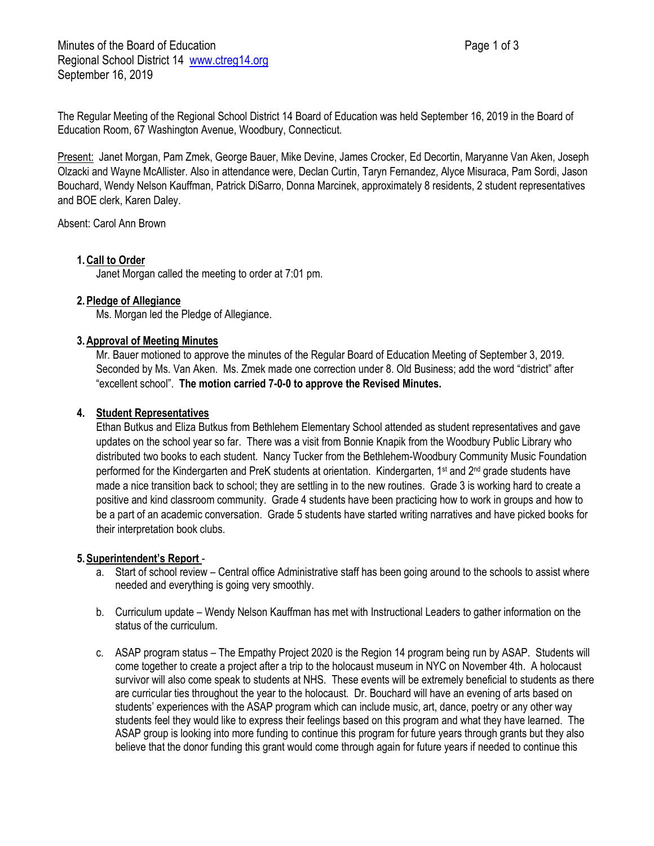Minutes of the Board of Education **Page 1 of 3** Page 1 of 3 Regional School District 14 [www.ctreg14.org](http://www.ctreg14.org/) September 16, 2019

The Regular Meeting of the Regional School District 14 Board of Education was held September 16, 2019 in the Board of Education Room, 67 Washington Avenue, Woodbury, Connecticut.

Present: Janet Morgan, Pam Zmek, George Bauer, Mike Devine, James Crocker, Ed Decortin, Maryanne Van Aken, Joseph Olzacki and Wayne McAllister. Also in attendance were, Declan Curtin, Taryn Fernandez, Alyce Misuraca, Pam Sordi, Jason Bouchard, Wendy Nelson Kauffman, Patrick DiSarro, Donna Marcinek, approximately 8 residents, 2 student representatives and BOE clerk, Karen Daley.

Absent: Carol Ann Brown

# **1.Call to Order**

Janet Morgan called the meeting to order at 7:01 pm.

### **2.Pledge of Allegiance**

Ms. Morgan led the Pledge of Allegiance.

### **3.Approval of Meeting Minutes**

Mr. Bauer motioned to approve the minutes of the Regular Board of Education Meeting of September 3, 2019. Seconded by Ms. Van Aken. Ms. Zmek made one correction under 8. Old Business; add the word "district" after "excellent school". **The motion carried 7-0-0 to approve the Revised Minutes.**

### **4. Student Representatives**

Ethan Butkus and Eliza Butkus from Bethlehem Elementary School attended as student representatives and gave updates on the school year so far. There was a visit from Bonnie Knapik from the Woodbury Public Library who distributed two books to each student. Nancy Tucker from the Bethlehem-Woodbury Community Music Foundation performed for the Kindergarten and PreK students at orientation. Kindergarten, 1st and 2nd grade students have made a nice transition back to school; they are settling in to the new routines. Grade 3 is working hard to create a positive and kind classroom community. Grade 4 students have been practicing how to work in groups and how to be a part of an academic conversation. Grade 5 students have started writing narratives and have picked books for their interpretation book clubs.

# **5.Superintendent's Report** -

- a. Start of school review Central office Administrative staff has been going around to the schools to assist where needed and everything is going very smoothly.
- b. Curriculum update Wendy Nelson Kauffman has met with Instructional Leaders to gather information on the status of the curriculum.
- c. ASAP program status The Empathy Project 2020 is the Region 14 program being run by ASAP. Students will come together to create a project after a trip to the holocaust museum in NYC on November 4th. A holocaust survivor will also come speak to students at NHS. These events will be extremely beneficial to students as there are curricular ties throughout the year to the holocaust. Dr. Bouchard will have an evening of arts based on students' experiences with the ASAP program which can include music, art, dance, poetry or any other way students feel they would like to express their feelings based on this program and what they have learned. The ASAP group is looking into more funding to continue this program for future years through grants but they also believe that the donor funding this grant would come through again for future years if needed to continue this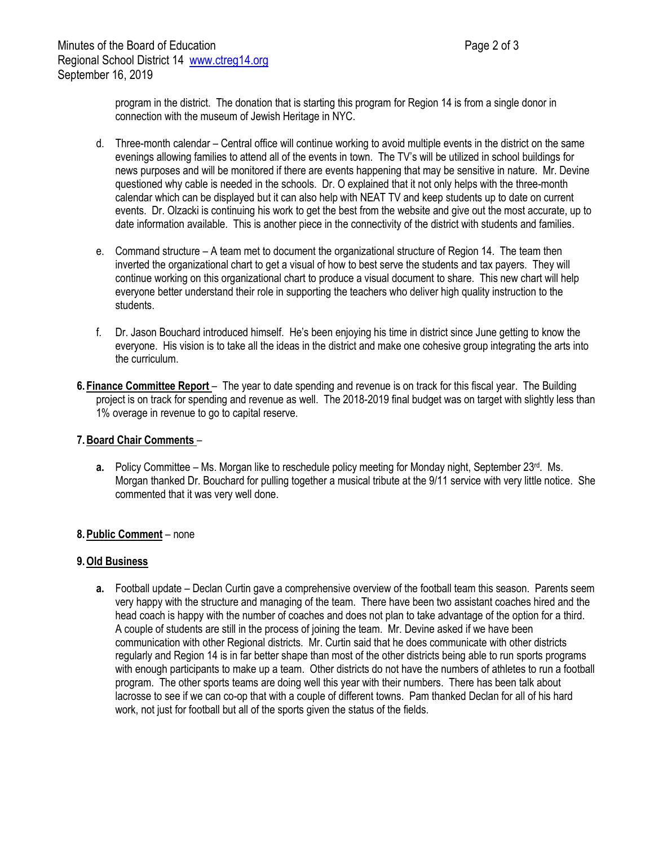program in the district. The donation that is starting this program for Region 14 is from a single donor in connection with the museum of Jewish Heritage in NYC.

- d. Three-month calendar Central office will continue working to avoid multiple events in the district on the same evenings allowing families to attend all of the events in town. The TV's will be utilized in school buildings for news purposes and will be monitored if there are events happening that may be sensitive in nature. Mr. Devine questioned why cable is needed in the schools. Dr. O explained that it not only helps with the three-month calendar which can be displayed but it can also help with NEAT TV and keep students up to date on current events. Dr. Olzacki is continuing his work to get the best from the website and give out the most accurate, up to date information available. This is another piece in the connectivity of the district with students and families.
- e. Command structure A team met to document the organizational structure of Region 14. The team then inverted the organizational chart to get a visual of how to best serve the students and tax payers. They will continue working on this organizational chart to produce a visual document to share. This new chart will help everyone better understand their role in supporting the teachers who deliver high quality instruction to the students.
- f. Dr. Jason Bouchard introduced himself. He's been enjoying his time in district since June getting to know the everyone. His vision is to take all the ideas in the district and make one cohesive group integrating the arts into the curriculum.
- **6. Finance Committee Report** The year to date spending and revenue is on track for this fiscal year. The Building project is on track for spending and revenue as well. The 2018-2019 final budget was on target with slightly less than 1% overage in revenue to go to capital reserve.

# **7.Board Chair Comments** –

**a.** Policy Committee – Ms. Morgan like to reschedule policy meeting for Monday night, September 23<sup>rd</sup>. Ms. Morgan thanked Dr. Bouchard for pulling together a musical tribute at the 9/11 service with very little notice. She commented that it was very well done.

# **8.Public Comment** – none

# **9.Old Business**

**a.** Football update – Declan Curtin gave a comprehensive overview of the football team this season. Parents seem very happy with the structure and managing of the team. There have been two assistant coaches hired and the head coach is happy with the number of coaches and does not plan to take advantage of the option for a third. A couple of students are still in the process of joining the team. Mr. Devine asked if we have been communication with other Regional districts. Mr. Curtin said that he does communicate with other districts regularly and Region 14 is in far better shape than most of the other districts being able to run sports programs with enough participants to make up a team. Other districts do not have the numbers of athletes to run a football program. The other sports teams are doing well this year with their numbers. There has been talk about lacrosse to see if we can co-op that with a couple of different towns. Pam thanked Declan for all of his hard work, not just for football but all of the sports given the status of the fields.